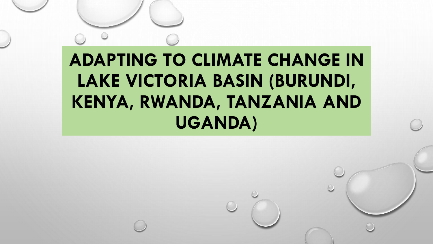# **ADAPTING TO CLIMATE CHANGE IN LAKE VICTORIA BASIN (BURUNDI, KENYA, RWANDA, TANZANIA AND UGANDA)**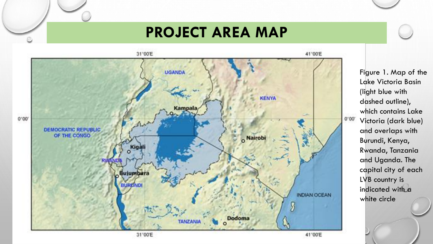### **PROJECT AREA MAP**



Figure 1. Map of the Lake Victoria Basin (light blue with dashed outline), which contains Lake Victoria (dark blue) and overlaps with Burundi, Kenya, Rwanda, Tanzania and Uganda. The capital city of each LVB country is indicated with a white circle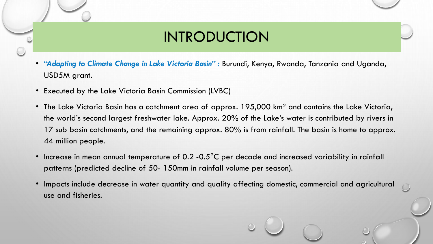## INTRODUCTION

- *"Adapting to Climate Change in Lake Victoria Basin" :* Burundi, Kenya, Rwanda, Tanzania and Uganda, USD5M grant.
- Executed by the Lake Victoria Basin Commission (LVBC)
- The Lake Victoria Basin has a catchment area of approx. 195,000 km² and contains the Lake Victoria, the world's second largest freshwater lake. Approx. 20% of the Lake's water is contributed by rivers in 17 sub basin catchments, and the remaining approx. 80% is from rainfall. The basin is home to approx. 44 million people.
- Increase in mean annual temperature of 0.2 -0.5°C per decade and increased variability in rainfall patterns (predicted decline of 50- 150mm in rainfall volume per season).
- Impacts include decrease in water quantity and quality affecting domestic, commercial and agricultural use and fisheries.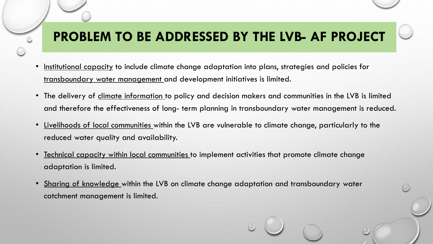## **PROBLEM TO BE ADDRESSED BY THE LVB- AF PROJECT**

- Institutional capacity to include climate change adaptation into plans, strategies and policies for transboundary water management and development initiatives is limited.
- The delivery of climate information to policy and decision makers and communities in the LVB is limited and therefore the effectiveness of long- term planning in transboundary water management is reduced.
- Livelihoods of local communities within the LVB are vulnerable to climate change, particularly to the reduced water quality and availability.
- Technical capacity within local communities to implement activities that promote climate change adaptation is limited.
- Sharing of knowledge within the LVB on climate change adaptation and transboundary water catchment management is limited.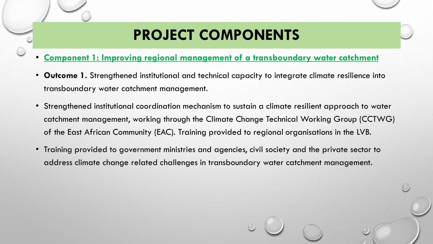# **PROJECT COMPONENTS**

- **Component 1: Improving regional management of a transboundary water catchment**
- **Outcome 1.** Strengthened institutional and technical capacity to integrate climate resilience into transboundary water catchment management.
- Strengthened institutional coordination mechanism to sustain a climate resilient approach to water catchment management, working through the Climate Change Technical Working Group (CCTWG) of the East African Community (EAC). Training provided to regional organisations in the LVB.
- Training provided to government ministries and agencies, civil society and the private sector to address climate change related challenges in transboundary water catchment management.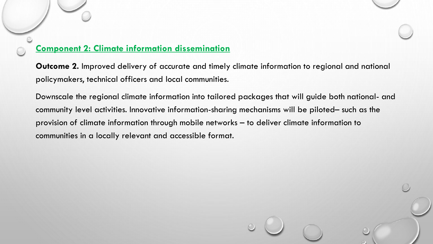#### **Component 2: Climate information dissemination**

**Outcome 2.** Improved delivery of accurate and timely climate information to regional and national policymakers, technical officers and local communities.

Downscale the regional climate information into tailored packages that will guide both national- and community level activities. Innovative information-sharing mechanisms will be piloted– such as the provision of climate information through mobile networks – to deliver climate information to communities in a locally relevant and accessible format.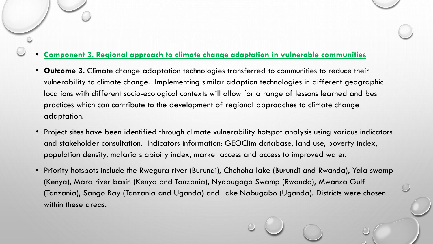#### • **Component 3. Regional approach to climate change adaptation in vulnerable communities**

- **Outcome 3.** Climate change adaptation technologies transferred to communities to reduce their vulnerability to climate change. Implementing similar adaption technologies in different geographic locations with different socio-ecological contexts will allow for a range of lessons learned and best practices which can contribute to the development of regional approaches to climate change adaptation.
- Project sites have been identified through climate vulnerability hotspot analysis using various indicators and stakeholder consultation. Indicators information: GEOClim database, land use, poverty index, population density, malaria stabioity index, market access and access to improved water.
- Priority hotspots include the Rwegura river (Burundi), Chohoha lake (Burundi and Rwanda), Yala swamp (Kenya), Mara river basin (Kenya and Tanzania), Nyabugogo Swamp (Rwanda), Mwanza Gulf (Tanzania), Sango Bay (Tanzania and Uganda) and Lake Nabugabo (Uganda). Districts were chosen within these areas.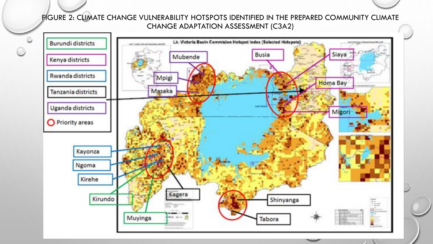FIGURE 2: CLIMATE CHANGE VULNERABILITY HOTSPOTS IDENTIFIED IN THE PREPARED COMMUNITY CLIMATE CHANGE ADAPTATION ASSESSMENT (C3A2)

 $\circ$ 

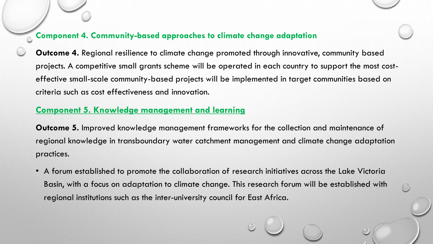#### **Component 4. Community-based approaches to climate change adaptation**

**Outcome 4.** Regional resilience to climate change promoted through innovative, community based projects. A competitive small grants scheme will be operated in each country to support the most costeffective small-scale community-based projects will be implemented in target communities based on criteria such as cost effectiveness and innovation.

#### **Component 5. Knowledge management and learning**

**Outcome 5.** Improved knowledge management frameworks for the collection and maintenance of regional knowledge in transboundary water catchment management and climate change adaptation practices.

• A forum established to promote the collaboration of research initiatives across the Lake Victoria Basin, with a focus on adaptation to climate change. This research forum will be established with regional institutions such as the inter-university council for East Africa.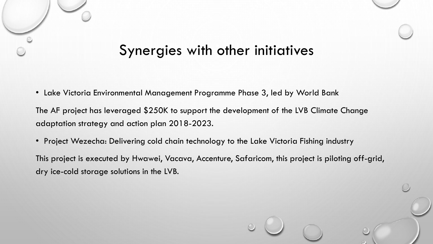### Synergies with other initiatives

• Lake Victoria Environmental Management Programme Phase 3, led by World Bank

The AF project has leveraged \$250K to support the development of the LVB Climate Change adaptation strategy and action plan 2018-2023.

• Project Wezecha: Delivering cold chain technology to the Lake Victoria Fishing industry

This project is executed by Hwawei, Vacava, Accenture, Safaricom, this project is piloting off-grid, dry ice-cold storage solutions in the LVB.